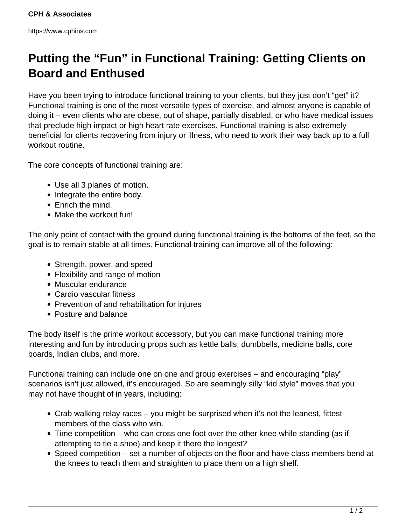## **Putting the "Fun" in Functional Training: Getting Clients on Board and Enthused**

Have you been trying to introduce functional training to your clients, but they just don't "get" it? Functional training is one of the most versatile types of exercise, and almost anyone is capable of doing it – even clients who are obese, out of shape, partially disabled, or who have medical issues that preclude high impact or high heart rate exercises. Functional training is also extremely beneficial for clients recovering from injury or illness, who need to work their way back up to a full workout routine.

The core concepts of functional training are:

- Use all 3 planes of motion.
- Integrate the entire body.
- Enrich the mind.
- Make the workout fun!

The only point of contact with the ground during functional training is the bottoms of the feet, so the goal is to remain stable at all times. Functional training can improve all of the following:

- Strength, power, and speed
- Flexibility and range of motion
- Muscular endurance
- Cardio vascular fitness
- Prevention of and rehabilitation for injures
- Posture and balance

The body itself is the prime workout accessory, but you can make functional training more interesting and fun by introducing props such as kettle balls, dumbbells, medicine balls, core boards, Indian clubs, and more.

Functional training can include one on one and group exercises – and encouraging "play" scenarios isn't just allowed, it's encouraged. So are seemingly silly "kid style" moves that you may not have thought of in years, including:

- Crab walking relay races you might be surprised when it's not the leanest, fittest members of the class who win.
- Time competition who can cross one foot over the other knee while standing (as if attempting to tie a shoe) and keep it there the longest?
- Speed competition set a number of objects on the floor and have class members bend at the knees to reach them and straighten to place them on a high shelf.